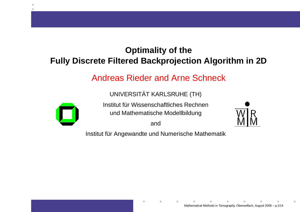### **Optimality of theFully Discrete Filtered Backprojection Algorithm in 2D**

### Andreas Rieder and Arne Schneck

UNIVERSITAT KARLSRUHE (TH)¨



Institut für Wissenschaftliches Rechnen und Mathematische Modellbildung

and

Institut für Angewandte und Numerische Mathematik

 $\bullet$ 

<u>MJM</u>

W<u>MIR</u><br>MIV M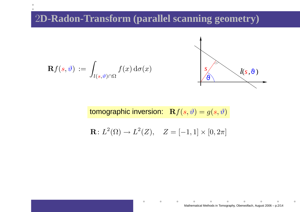# 2**D-Radon-Transform (parallel scanning geometry)**

$$
\mathbf{R}f(s,\vartheta) := \int_{l(s,\vartheta)\cap\Omega} f(x) d\sigma(x) \qquad \qquad \qquad \int_{\vartheta} \qquad \qquad l(s,\vartheta)
$$

tomographic inversion:  $\;\;\mathbf{R} f(s,\vartheta)=g(s,\vartheta)$ 

$$
\mathbf{R} \colon L^2(\Omega) \to L^2(Z), \quad Z = [-1, 1] \times [0, 2\pi]
$$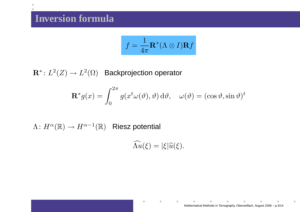$\bullet$ 

$$
f = \frac{1}{4\pi} \mathbf{R}^* (\Lambda \otimes I) \mathbf{R} f
$$

 ${\bf R}^* \colon L^2(Z) \to$  $L^2(\Omega)$  Backprojection operator

$$
\mathbf{R}^* g(x) = \int_0^{2\pi} g(x^t \omega(\vartheta), \vartheta) d\vartheta, \quad \omega(\vartheta) = (\cos \vartheta, \sin \vartheta)^t
$$

 $\Lambda\colon H^{\alpha}(\mathbb{R})\to$  $\rightarrow H^{\alpha-1}(\mathbb{R})$  Riesz potential

 $\widehat{\Lambda u}(\xi) = |\xi| \widehat{u}(\xi).$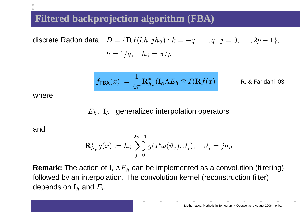## **Filtered backprojection algorithm (FBA)**

discrete Radon data 
$$
D = {\mathbf{R}} f(kh, jh_{\vartheta}) : k = -q, ..., q, j = 0, ..., 2p - 1,
$$
  
\n
$$
h = 1/q, \quad h_{\vartheta} = \pi/p
$$

$$
f_{\mathsf{FBA}}(x) := \frac{1}{4\pi} \mathbf{R}_{h_\vartheta}^* (\mathrm{I}_h \Lambda E_h \otimes I) \mathbf{R} f(x)
$$
 R. & Faridani '03

where

# $E_h$ ,  $\, {\rm I}_h \, \,$  generalized interpolation operators

and

$$
\mathbf{R}_{h_{\vartheta}}^* g(x) := h_{\vartheta} \sum_{j=0}^{2p-1} g(x^t \omega(\vartheta_j), \vartheta_j), \quad \vartheta_j = j h_{\vartheta}
$$

**Remark:** The action of  $\mathrm{I}_h\Lambda E_h$  followed by an interpolation. The convolution kernel (reconstruction filter) $\mathcal{C}_h$  can be implemented as a convolution (filtering) depends on  $\mathrm{I}_h$  and  $E_h$ .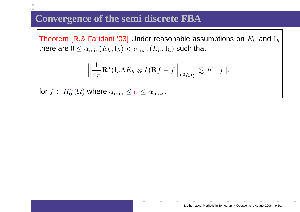### **Convergence of the semi discrete FBA**

Theorem [R.& Faridani '03] Under reasonable assumptions on  $E_h$  and  ${\rm I}_h$ there are  $0\leq \alpha_{\min}(E_h,{\rm I}_h)<\alpha_{\max}(E_h,{\rm I}_h)$  such that

$$
\Big\| \frac{1}{4\pi} \mathbf{R}^* ( \mathrm{I}_h \Lambda E_h \otimes I) \mathbf{R} f - f \Big\|_{L^2(\Omega)} \, \lesssim \, h^{\alpha} \|f\|_{\alpha}
$$

for  $f\in H_0^\alpha$  $\frac{\alpha}{0}(\Omega)$  where  $\alpha_{\min} \leq \alpha \leq \alpha_{\max}$ .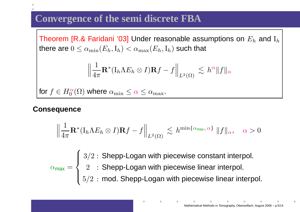# **Convergence of the semi discrete FBA**

Theorem [R.& Faridani '03] Under reasonable assumptions on  $E_h$  and  ${\rm I}_h$ there are  $0\leq \alpha_{\min}(E_h,{\rm I}_h)<\alpha_{\max}(E_h,{\rm I}_h)$  such that

$$
\Big\|\frac{1}{4\pi}\mathbf{R}^*(\mathrm{I}_h\Lambda E_h\otimes I)\mathbf{R}f-f\Big\|_{L^2(\Omega)}\ \lesssim\ h^\alpha\|f\|_\alpha
$$

for  $f\in H_0^\alpha$  $\frac{\alpha}{0}(\Omega)$  where  $\alpha_{\min} \leq \alpha \leq \alpha_{\max}$ .

#### **Consequence**

$$
\left\|\frac{1}{4\pi}\mathbf{R}^*(\mathrm{I}_h\Lambda E_h\otimes I)\mathbf{R}f-f\right\|_{L^2(\Omega)}\lesssim h^{\min\{\alpha_{\max},\alpha\}}\,\|f\|_{\alpha},\quad\alpha>0
$$

 $\alpha$ max = $\sqrt{ }$  $\left\{\right\}$  $\overline{\mathcal{L}}$ 3 $3/2\,\colon$  Shepp-Logan with piecewise constant interpol.  $2\;\;:$  Shepp-Logan with piecewise linear interpol.  $5/2\,:\,$  mod. Shepp-Logan with piecewise linear interpol.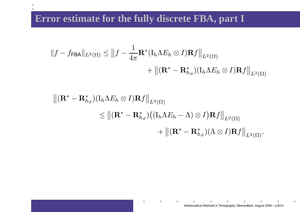## **Error estimate for the fully discrete FBA, part I**

 $\bullet$ 

$$
||f - f_{\mathsf{FBA}}||_{L^{2}(\Omega)} \le ||f - \frac{1}{4\pi} \mathbf{R}^{*} (\mathbf{I}_{h} \Lambda E_{h} \otimes I) \mathbf{R} f||_{L^{2}(\Omega)} + ||(\mathbf{R}^{*} - \mathbf{R}^{*}_{h_{\vartheta}})(\mathbf{I}_{h} \Lambda E_{h} \otimes I) \mathbf{R} f||_{L^{2}(\Omega)}
$$

$$
\begin{aligned} \left\| (\mathbf{R}^* - \mathbf{R}^*_{h_{\vartheta}}) (\mathbf{I}_h \Lambda E_h \otimes I) \mathbf{R} f \right\|_{L^2(\Omega)} \\ &\leq \left\| (\mathbf{R}^* - \mathbf{R}^*_{h_{\vartheta}}) \big( (\mathbf{I}_h \Lambda E_h - \Lambda) \otimes I \big) \mathbf{R} f \right\|_{L^2(\Omega)} \\ &+ \left\| (\mathbf{R}^* - \mathbf{R}^*_{h_{\vartheta}}) (\Lambda \otimes I) \mathbf{R} f \right\|_{L^2(\Omega)}. \end{aligned}
$$

 $\blacksquare$ 

 $\bullet$ 

 $\bullet$ 

 $\begin{array}{c} \begin{array}{c} \begin{array}{c} \begin{array}{c} \end{array} \end{array} \end{array} \end{array} \end{array}$ 

 $\qquad \qquad \blacksquare$ 

 $\bullet$ 

 $\blacksquare$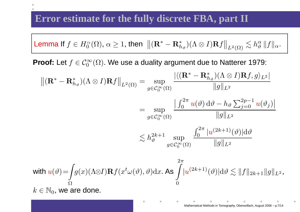# **Error estimate for the fully discrete FBA, part II**

**Lemma** If 
$$
f \in H_0^{\alpha}(\Omega)
$$
,  $\alpha \ge 1$ , then  $||(\mathbf{R}^* - \mathbf{R}^*_{h_{\vartheta}})(\Lambda \otimes I)\mathbf{R}f||_{L^2(\Omega)} \lesssim h_{\vartheta}^{\alpha} ||f||_{\alpha}$ .

**Proof:** Let  $f \in C_0^{\infty}$  $\int_{0}^{\infty}(\Omega)$ . We use a duality argument due to Natterer 1979:

$$
\begin{split}\n\left\| (\mathbf{R}^* - \mathbf{R}^*_{h_{\vartheta}}) (\Lambda \otimes I) \mathbf{R} f \right\|_{L^2(\Omega)} &= \sup_{g \in \mathcal{C}_{0}^{\infty}(\Omega)} \frac{\left| \langle (\mathbf{R}^* - \mathbf{R}^*_{h_{\vartheta}}) (\Lambda \otimes I) \mathbf{R} f, g \rangle_{L^2} \right|}{\|g\|_{L^2}} \\
&= \sup_{g \in \mathcal{C}_{0}^{\infty}(\Omega)} \frac{\left| \int_{0}^{2\pi} u(\vartheta) \, \mathrm{d}\vartheta - h_{\vartheta} \sum_{j=0}^{2p-1} u(\vartheta_{j}) \right|}{\|g\|_{L^2}} \\
&\lesssim h_{\vartheta}^{2k+1} \sup_{g \in \mathcal{C}_{0}^{\infty}(\Omega)} \frac{\int_{0}^{2\pi} |u^{(2k+1)}(\vartheta)| \mathrm{d}\vartheta}{\|g\|_{L^2}} \\
\text{with } u(\vartheta) = &\int_{\Omega} g(x) (\Lambda \otimes I) \mathbf{R} f(x^t \omega(\vartheta), \vartheta) \mathrm{d}x. \text{ As } \int_{0}^{2\pi} |u^{(2k+1)}(\vartheta)| \mathrm{d}\vartheta \lesssim \|f\|_{2k+1} \|g\|_{L^2}, \\
k \in \mathbb{N}_0, \text{ we are done.}\n\end{split}
$$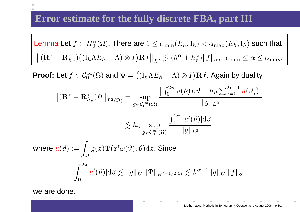# **Error estimate for the fully discrete FBA, part III**

**Lemma** Let 
$$
f \in H_0^{\alpha}(\Omega)
$$
. There are  $1 \leq \alpha_{\min}(E_h, I_h) < \alpha_{\max}(E_h, I_h)$  such that 
$$
\left\| (\mathbf{R}^* - \mathbf{R}^*_{h_\vartheta}) \big( (I_h \Lambda E_h - \Lambda) \otimes I \big) \mathbf{R} f \right\|_{L^2} \lesssim (h^\alpha + h_\vartheta^\alpha) \|f\|_\alpha, \ \alpha_{\min} \leq \alpha \leq \alpha_{\max}.
$$

**Proof:** Let  $f \in C_0^{\infty}$  $\delta_{0}^{\infty}(\Omega)$  and  $\Psi=\big((\mathrm{I}_h\Lambda E_h-\mathbb{I}_h\mathbb{I}_h\big)$  $(-\Lambda) \otimes I$ **) R***f*. Again by duality

$$
\begin{aligned}\n\|(\mathbf{R}^* - \mathbf{R}^*_{h_{\vartheta}}) \Psi\|_{L^2(\Omega)} &= \sup_{g \in \mathcal{C}_0^{\infty}(\Omega)} \frac{\left| \int_0^{2\pi} u(\vartheta) \, d\vartheta - h_{\vartheta} \sum_{j=0}^{2p-1} u(\vartheta_j) \right|}{\|g\|_{L^2}} \\
&\lesssim h_{\vartheta} \sup_{g \in \mathcal{C}_0^{\infty}(\Omega)} \frac{\int_0^{2\pi} |u'(\vartheta)| d\vartheta}{\|g\|_{L^2}} \\
\text{where } u(\vartheta) := \int_{\Omega} g(x) \Psi(x^t \omega(\vartheta), \vartheta) dx. \text{ Since} \\
\int_0^{2\pi} |u'(\vartheta)| d\vartheta &\lesssim \|g\|_{L^2} \|\Psi\|_{H^{(-1/2, 1)}} \lesssim h^{\alpha - 1} \|g\|_{L^2} \|f\|_{\alpha}\n\end{aligned}
$$

we are done.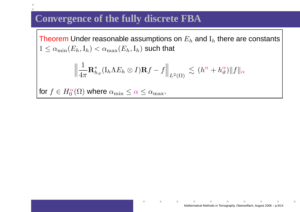## **Convergence of the fully discrete FBA**

Theorem Under reasonable assumptions on  $E_h$  and  ${\rm I}_h$  there are constants<br>1  $1\leq\alpha_{\min}(E_h,{\rm I}_h)<\alpha_{\max}(E_h,{\rm I}_h)$  such that

$$
\Big\|\frac{1}{4\pi} {\bf R}^*_{h_{\vartheta}}({\rm I}_h\Lambda E_h\otimes I){\bf R} f-f\Big\|_{L^2(\Omega)}\ \lesssim\ (h^{\alpha}+h^{\alpha}_{\vartheta})\|f\|_{\alpha}
$$

for  $f\in H_0^\alpha$  $\frac{\alpha}{0}(\Omega)$  where  $\alpha_{\min} \leq \alpha \leq \alpha_{\max}$ .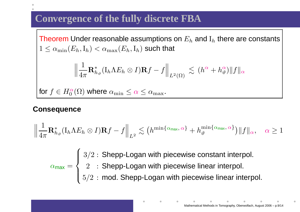# **Convergence of the fully discrete FBA**

Theorem Under reasonable assumptions on  $E_h$  and  ${\rm I}_h$  there are constants<br>1  $1\leq\alpha_{\min}(E_h,{\rm I}_h)<\alpha_{\max}(E_h,{\rm I}_h)$  such that

$$
\Big\|\frac{1}{4\pi} {\bf R}^*_{h_{\vartheta}}({\rm I}_h\Lambda E_h\otimes I){\bf R} f-f\Big\|_{L^2(\Omega)}\ \lesssim\ (h^{\alpha}+h^{\alpha}_{\vartheta})\|f\|_{\alpha}
$$

for  $f\in H_0^\alpha$  $\frac{\alpha}{0}(\Omega)$  where  $\alpha_{\min} \leq \alpha \leq \alpha_{\max}$ .

#### **Consequence**

$$
\left\|\frac{1}{4\pi}\mathbf{R}_{h_{\vartheta}}^*(\mathrm{I}_h\Lambda E_h\otimes I)\mathbf{R}f - f\right\|_{L^2} \lesssim \left(h^{\min\{\alpha_{\max},\alpha\}} + h_{\vartheta}^{\min\{\alpha_{\max},\alpha\}}\right) \|f\|_{\alpha}, \quad \alpha \ge 1
$$

 $\alpha$ max = $\sqrt{ }$  $\left\{\right\}$  $\overline{\mathcal{L}}$ 3 $3/2\,\colon$  Shepp-Logan with piecewise constant interpol.  $2\;\;:$  Shepp-Logan with piecewise linear interpol.  $5/2\,:\,$  mod. Shepp-Logan with piecewise linear interpol.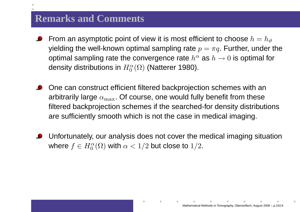#### **Remarks and Comments**

- From an asymptotic point of view it is most efficient to choose  $h=h_\vartheta$ yielding the well-known optimal sampling rate  $p=\pi q.$  Further, under the optimal sampling rate the convergence rate  $h^\alpha$  as  $h\to0$  is optimal for density distributions in  $H^\alpha_0(\Omega)$  (Natterer 198(  $\Gamma_0^\alpha(\Omega)$  (Natterer 1980).
- One can construct efficient filtered backprojection schemes with anarbitrarily large  $\alpha_{\max}$ . Of course, one would fully benefit from these filtered backprojection schemes if the searched-for density distributionsare sufficiently smooth which is not the case in medical imaging.
- Unfortunately, our analysis does not cover the medical imaging situation $\bullet$  $\delta_{0}^{\alpha}(\Omega)$  with  $\alpha < 1/2$  but close to  $1/2.$ where  $f\in H_0^\alpha$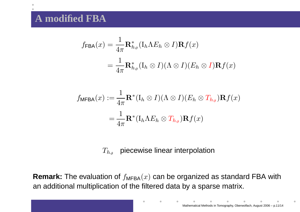#### **A modified FBA**

 $\bullet$ 

$$
f_{\mathsf{FBA}}(x) = \frac{1}{4\pi} \mathbf{R}_{h_{\vartheta}}^* (\mathbf{I}_h \Lambda E_h \otimes I) \mathbf{R} f(x)
$$

$$
= \frac{1}{4\pi} \mathbf{R}_{h_{\vartheta}}^* (\mathbf{I}_h \otimes I)(\Lambda \otimes I) (E_h \otimes I) \mathbf{R} f(x)
$$

$$
f_{\mathsf{MFBA}}(x) := \frac{1}{4\pi} \mathbf{R}^* (\mathbf{I}_h \otimes I)(\Lambda \otimes I)(E_h \otimes T_{h_{\vartheta}}) \mathbf{R} f(x)
$$

$$
= \frac{1}{4\pi} \mathbf{R}^* (\mathbf{I}_h \Lambda E_h \otimes T_{h_{\vartheta}}) \mathbf{R} f(x)
$$

# $T_{h_\vartheta}$  piecewise linear interpolation

 ${\sf Remark}\colon$  The evaluation of  $f_{\mathsf{MFBA}}(x)$  can be organized as standard FBA with an additional multiplication of the filtered data by <sup>a</sup> sparse matrix.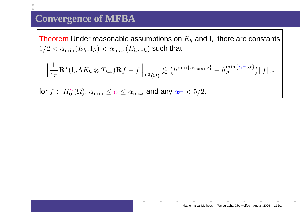### **Convergence of MFBA**

Theorem Under reasonable assumptions on  $E_h$  and  ${\rm I}_h$  there are constants<br>1/8  $1/2 < \alpha_{\min}(E_h, \mathrm{I}_h) < \alpha_{\max}(E_h, \mathrm{I}_h)$  such that

$$
\left\|\frac{1}{4\pi}\mathbf{R}^*(\mathrm{I}_h\Lambda E_h\otimes T_{h_\vartheta})\mathbf{R}f - f\right\|_{L^2(\Omega)} \lesssim \left(h^{\min\{\alpha_{\max},\alpha\}} + h_\vartheta^{\min\{\alpha_{\mathrm{T}},\alpha\}}\right) \|f\|_{\alpha}
$$

for  $f\in H_0^\alpha$  $\frac{\alpha}{0}(\Omega)$ ,  $\alpha_{\min} \leq \alpha \leq \alpha_{\max}$  and any  $\alpha_{\rm T} < 5/2$ .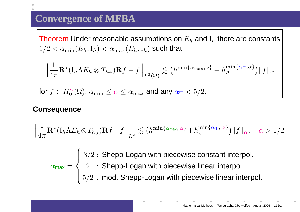# **Convergence of MFBA**

Theorem Under reasonable assumptions on  $E_h$  and  ${\rm I}_h$  there are constants<br>1/8  $1/2 < \alpha_{\min}(E_h, \mathrm{I}_h) < \alpha_{\max}(E_h, \mathrm{I}_h)$  such that

$$
\left\|\frac{1}{4\pi}\mathbf{R}^{*}(\mathbf{I}_{h}\Lambda E_{h}\otimes T_{h_{\vartheta}})\mathbf{R}f-f\right\|_{L^{2}(\Omega)} \lesssim \left(h^{\min\{\alpha_{\max},\alpha\}}+h_{\vartheta}^{\min\{\alpha_{\mathrm{T}},\alpha\}}\right)\|f\|_{\alpha}
$$

for  $f\in H_0^\alpha$  $\frac{\alpha}{0}(\Omega)$ ,  $\alpha_{\min} \leq \alpha \leq \alpha_{\max}$  and any  $\alpha_{\rm T} < 5/2$ .

#### **Consequence**

$$
\left\|\frac{1}{4\pi}\mathbf{R}^{*}(I_{h}\Lambda E_{h}\otimes T_{h_{\vartheta}})\mathbf{R}f-f\right\|_{L^{2}} \lesssim \left(h^{\min\{\alpha_{\max},\alpha\}}+h_{\vartheta}^{\min\{\alpha_{\mathrm{T}},\alpha\}}\right)\|f\|_{\alpha}, \quad \alpha>1/2
$$

 $\alpha$ max = $\sqrt{ }$  $\left\{\right\}$  $\overline{\mathcal{L}}$ 3 $3/2\,\colon$  Shepp-Logan with piecewise constant interpol.  $2\;\;:$  Shepp-Logan with piecewise linear interpol.  $5/2\,:\,$  mod. Shepp-Logan with piecewise linear interpol.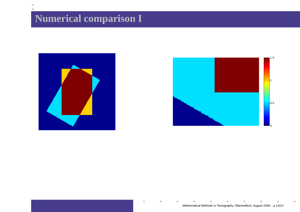# **Numerical comparison I**





 $\blacksquare$ 

 $\bullet$ 

 $\bullet$ 

 $\bullet$ 

 $\triangle$ 

 $\bullet$ 

 $\qquad \qquad \blacksquare$